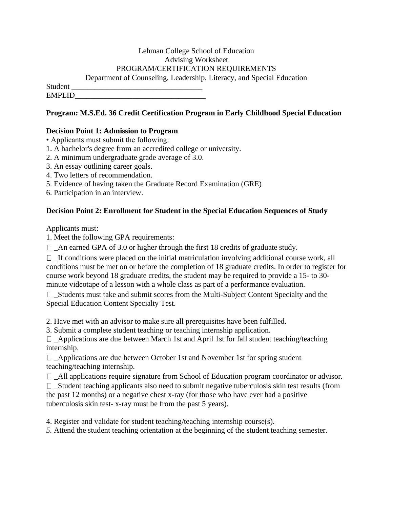### Lehman College School of Education Advising Worksheet PROGRAM/CERTIFICATION REQUIREMENTS Department of Counseling, Leadership, Literacy, and Special Education

Student \_\_\_\_\_\_\_\_\_\_\_\_\_\_\_\_\_\_\_\_\_\_\_\_\_\_\_\_\_\_\_\_\_\_ EMPLID\_\_\_\_\_\_\_\_\_\_\_\_\_\_\_\_\_\_\_\_\_\_\_\_\_\_\_\_\_\_\_\_\_\_

## **Program: M.S.Ed. 36 Credit Certification Program in Early Childhood Special Education**

# **Decision Point 1: Admission to Program**

• Applicants must submit the following:

- 1. A bachelor's degree from an accredited college or university.
- 2. A minimum undergraduate grade average of 3.0.
- 3. An essay outlining career goals.
- 4. Two letters of recommendation.
- 5. Evidence of having taken the Graduate Record Examination (GRE)
- 6. Participation in an interview.

# **Decision Point 2: Enrollment for Student in the Special Education Sequences of Study**

Applicants must:

1. Meet the following GPA requirements:

 $\Box$  An earned GPA of 3.0 or higher through the first 18 credits of graduate study.

 $\Box$  If conditions were placed on the initial matriculation involving additional course work, all conditions must be met on or before the completion of 18 graduate credits. In order to register for course work beyond 18 graduate credits, the student may be required to provide a 15- to 30 minute videotape of a lesson with a whole class as part of a performance evaluation.

 $\Box$  Students must take and submit scores from the Multi-Subject Content Specialty and the Special Education Content Specialty Test.

2. Have met with an advisor to make sure all prerequisites have been fulfilled.

3. Submit a complete student teaching or teaching internship application.

 $\Box$  \_Applications are due between March 1st and April 1st for fall student teaching/teaching internship.

 $\Box$  Applications are due between October 1st and November 1st for spring student teaching/teaching internship.

\_All applications require signature from School of Education program coordinator or advisor.

 $\Box$  Student teaching applicants also need to submit negative tuberculosis skin test results (from the past 12 months) or a negative chest x-ray (for those who have ever had a positive tuberculosis skin test- x-ray must be from the past 5 years).

4. Register and validate for student teaching/teaching internship course(s).

*5.* Attend the student teaching orientation at the beginning of the student teaching semester.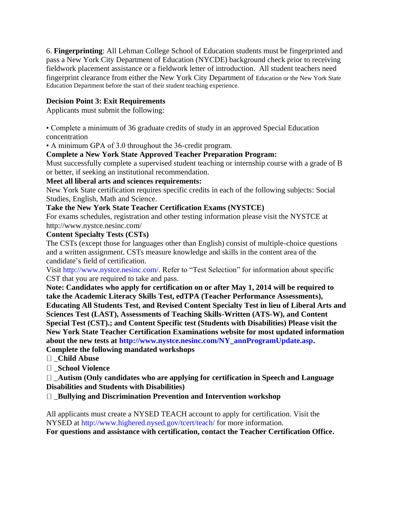6. **Fingerprinting**: All Lehman College School of Education students must be fingerprinted and pass a New York City Department of Education (NYCDE) background check prior to receiving fieldwork placement assistance or a fieldwork letter of introduction. All student teachers need fingerprint clearance from either the New York City Department of Education or the New York State Education Department before the start of their student teaching experience.

## **Decision Point 3: Exit Requirements**

Applicants must submit the following:

• Complete a minimum of 36 graduate credits of study in an approved Special Education concentration

• A minimum GPA of 3.0 throughout the 36-credit program.

## **Complete a New York State Approved Teacher Preparation Program:**

Must successfully complete a supervised student teaching or internship course with a grade of B or better, if seeking an institutional recommendation.

## **Meet all liberal arts and sciences requirements:**

New York State certification requires specific credits in each of the following subjects: Social Studies, English, Math and Science.

## **Take the New York State Teacher Certification Exams (NYSTCE)**

For exams schedules, registration and other testing information please visit the NYSTCE at http://www.nystce.nesinc.com/

## **Content Specialty Tests (CSTs)**

The CSTs (except those for languages other than English) consist of multiple-choice questions and a written assignment. CSTs measure knowledge and skills in the content area of the candidate's field of certification.

Visit http://www.nystce.nesinc.com/. Refer to "Test Selection" for information about specific CST that you are required to take and pass.

**Note: Candidates who apply for certification on or after May 1, 2014 will be required to take the Academic Literacy Skills Test, edTPA (Teacher Performance Assessments), Educating All Students Test, and Revised Content Specialty Test in lieu of Liberal Arts and Sciences Test (LAST), Assessments of Teaching Skills-Written (ATS-W), and Content Special Test (CST).; and Content Specific test (Students with Disabilities) Please visit the New York State Teacher Certification Examinations website for most updated information about the new tests at http://www.nystce.nesinc.com/NY\_annProgramUpdate.asp.** 

**Complete the following mandated workshops** 

\_**Child Abuse** 

\_**School Violence** 

\_**Autism (Only candidates who are applying for certification in Speech and Language Disabilities and Students with Disabilities)** 

\_**Bullying and Discrimination Prevention and Intervention workshop** 

All applicants must create a NYSED TEACH account to apply for certification. Visit the NYSED at http://www.highered.nysed.gov/tcert/teach/ for more information. **For questions and assistance with certification, contact the Teacher Certification Office.**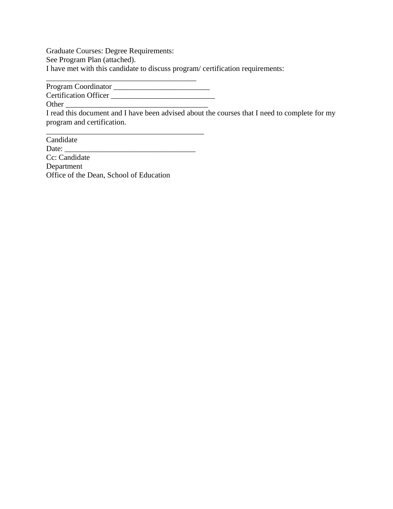Graduate Courses: Degree Requirements: See Program Plan (attached). I have met with this candidate to discuss program/ certification requirements:

Program Coordinator \_\_\_\_\_\_\_\_\_\_\_\_\_\_\_\_\_\_\_\_\_\_\_\_\_ Certification Officer \_\_\_\_\_\_\_\_\_\_\_\_\_\_\_\_\_\_\_\_\_\_\_\_\_\_\_

\_\_\_\_\_\_\_\_\_\_\_\_\_\_\_\_\_\_\_\_\_\_\_\_\_\_\_\_\_\_\_\_\_\_\_\_\_\_\_

I read this document and I have been advised about the courses that I need to complete for my program and certification.

Candidate Date: \_\_\_\_\_\_\_\_\_\_\_\_\_\_\_\_\_\_\_\_\_\_\_\_\_\_\_\_\_\_\_\_\_\_ Cc: Candidate Department Office of the Dean, School of Education